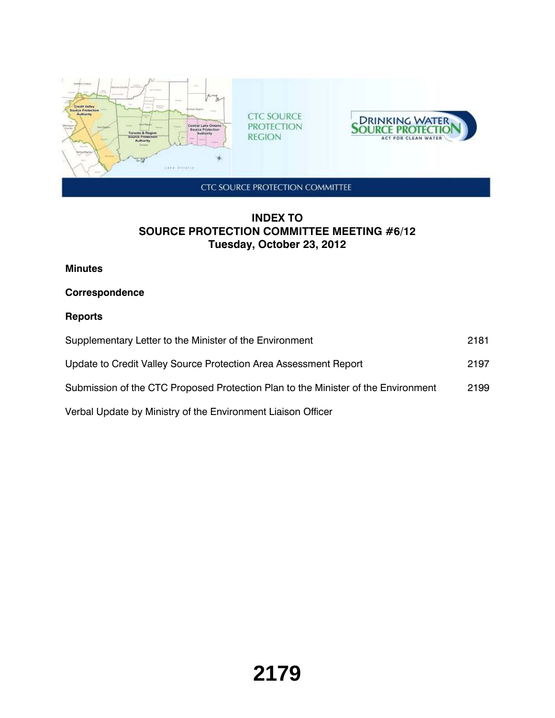

# **INDEX TO SOURCE PROTECTION COMMITTEE MEETING #6/12 Tuesday, October 23, 2012**

### **Minutes**

# **Correspondence**

# **Reports**

| Supplementary Letter to the Minister of the Environment                           | 2181 |
|-----------------------------------------------------------------------------------|------|
| Update to Credit Valley Source Protection Area Assessment Report                  | 2197 |
| Submission of the CTC Proposed Protection Plan to the Minister of the Environment | 2199 |
| Verbal Update by Ministry of the Environment Liaison Officer                      |      |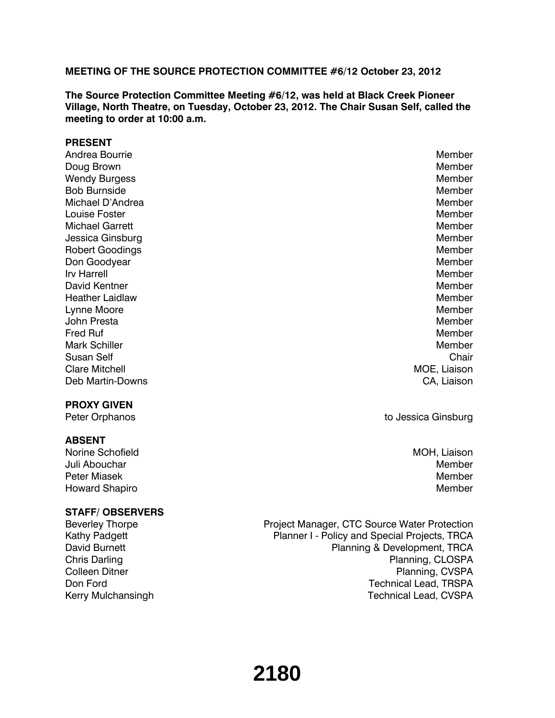#### **MEETING OF THE SOURCE PROTECTION COMMITTEE #6/12 October 23, 2012**

**The Source Protection Committee Meeting #6/12, was held at Black Creek Pioneer Village, North Theatre, on Tuesday, October 23, 2012. The Chair Susan Self, called the meeting to order at 10:00 a.m.**

#### **PRESENT**

Andrea Bourrie New York and Search Andrea Bourrie Member New York and Search Andrea Bourrie Member New York and Doug Brown Nember and Contract the Contract of the Contract of the Member and Member and Member and Member and Member Wendy Burgess **Member** Member and Structure and Structure and Structure and Member and Member and Member and Member Bob Burnside National According to the Member of the Member of the Member of the Member of the Member of the Member Michael D'Andrea Member (1999) and the state of the state of the Member (1999) and the Member (1999) and the Member **Louise Foster** Member Member Member Member Member Member Member Member Member Member Member Member Member Member Member  $\sim$  Member  $\sim$  Member  $\sim$  Member  $\sim$  Member  $\sim$  Member  $\sim$  Member  $\sim$  Member  $\sim$  Member  $\sim$  Michael Garrett **Member** Member Member Member Member Member Member Member Member Member Member Member Member Member Member  $\mathcal{M}$ Jessica Ginsburg Member (1999) and the state of the state of the state of the Member (1999) and the Member (19 Robert Goodings **Member** Member and American Control of the Member and American Control of the Member and American Control of the Member and American Control of the Member and American Control of the Member and American Co Don Goodyear Member and Controllering the Controllering of the Member and Member and Member and Member and Member Irv Harrell **Member** and the state of the state of the state of the state of the Member David Kentner Member Member Member Member Member Member Member Member Member Member Member Member Member Member Heather Laidlaw Member Lynne Moore Moore and the Member of the Member of the Member of the Member of the Member of the Member of the Member John Presta Member (1999) and the state of the state of the state of the state of the Member (1999) and the state of the state of the state of the state of the state of the state of the state of the state of the state of t Fred Ruf Nember and The Communication of the Communication of the Member of the Member Mark Schiller Mark Schiller Member (Mark Schiller Member 1999) and the Member of the Member of the Member of the Member of the Member of the Member of the Member of the Member of the Member of the Member of the Member of t Susan Self Chair Chair Chair Chair Chair Chair Chair Chair Chair Chair Chair Chair Chair Chair Chair Chair Chair **Clare Mitchell Moe, Liaison** MOE, Liaison Deb Martin-Downs **CA, Liaison** 

#### **PROXY GIVEN**

#### **ABSENT**

Norine Schofield **MOH, Liaison** MOH, Liaison Juli Abouchar Member Peter Miasek Member Member (1999) and the state of the state of the Member (1999) and the Member (1999) and the Member (1999) and the Member (1999) and the Member (1999) and the Member (1999) and the Member (1999) and the Howard Shapiro **Member Member** Member **Member Member Member Member Member** 

### **STAFF/ OBSERVERS**

Peter Orphanos **the Community Community** Community Community Community Community Community Community Community Community Community Community Community Community Community Community Community Community Community Community C

Beverley Thorpe Project Manager, CTC Source Water Protection Kathy Padgett **Planner I - Policy and Special Projects, TRCA** David Burnett **Planning & Development, TRCA** Chris Darling **Planning, CLOSPA** Colleen Ditner **Planning, CVSPA** Don Ford **Technical Lead, TRSPA** Kerry Mulchansingh Technical Lead, CVSPA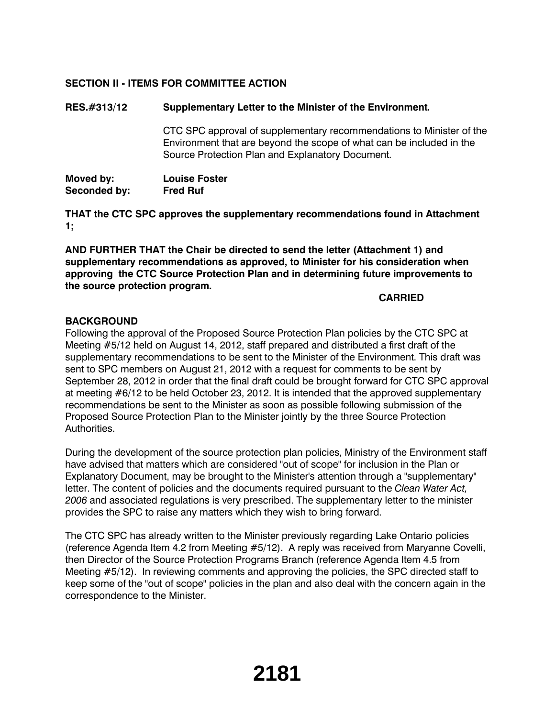# **SECTION II - ITEMS FOR COMMITTEE ACTION**

## **RES.#313/12 Supplementary Letter to the Minister of the Environment.**

CTC SPC approval of supplementary recommendations to Minister of the Environment that are beyond the scope of what can be included in the Source Protection Plan and Explanatory Document.

| Moved by:    | <b>Louise Foster</b> |
|--------------|----------------------|
| Seconded by: | <b>Fred Ruf</b>      |

**THAT the CTC SPC approves the supplementary recommendations found in Attachment 1;**

**AND FURTHER THAT the Chair be directed to send the letter (Attachment 1) and supplementary recommendations as approved, to Minister for his consideration when approving the CTC Source Protection Plan and in determining future improvements to the source protection program.**

### **CARRIED**

### **BACKGROUND**

Following the approval of the Proposed Source Protection Plan policies by the CTC SPC at Meeting #5/12 held on August 14, 2012, staff prepared and distributed a first draft of the supplementary recommendations to be sent to the Minister of the Environment. This draft was sent to SPC members on August 21, 2012 with a request for comments to be sent by September 28, 2012 in order that the final draft could be brought forward for CTC SPC approval at meeting #6/12 to be held October 23, 2012. It is intended that the approved supplementary recommendations be sent to the Minister as soon as possible following submission of the Proposed Source Protection Plan to the Minister jointly by the three Source Protection Authorities.

During the development of the source protection plan policies, Ministry of the Environment staff have advised that matters which are considered "out of scope" for inclusion in the Plan or Explanatory Document, may be brought to the Minister's attention through a "supplementary" letter. The content of policies and the documents required pursuant to the *Clean Water Act, 2006* and associated regulations is very prescribed. The supplementary letter to the minister provides the SPC to raise any matters which they wish to bring forward.

The CTC SPC has already written to the Minister previously regarding Lake Ontario policies (reference Agenda Item 4.2 from Meeting #5/12). A reply was received from Maryanne Covelli, then Director of the Source Protection Programs Branch (reference Agenda Item 4.5 from Meeting #5/12). In reviewing comments and approving the policies, the SPC directed staff to keep some of the "out of scope" policies in the plan and also deal with the concern again in the correspondence to the Minister.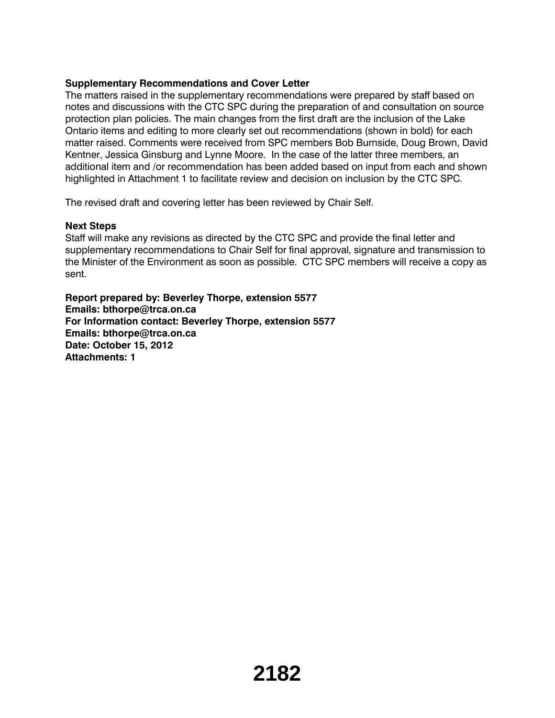## **Supplementary Recommendations and Cover Letter**

The matters raised in the supplementary recommendations were prepared by staff based on notes and discussions with the CTC SPC during the preparation of and consultation on source protection plan policies. The main changes from the first draft are the inclusion of the Lake Ontario items and editing to more clearly set out recommendations (shown in bold) for each matter raised. Comments were received from SPC members Bob Burnside, Doug Brown, David Kentner, Jessica Ginsburg and Lynne Moore. In the case of the latter three members, an additional item and /or recommendation has been added based on input from each and shown highlighted in Attachment 1 to facilitate review and decision on inclusion by the CTC SPC.

The revised draft and covering letter has been reviewed by Chair Self.

#### **Next Steps**

Staff will make any revisions as directed by the CTC SPC and provide the final letter and supplementary recommendations to Chair Self for final approval, signature and transmission to the Minister of the Environment as soon as possible. CTC SPC members will receive a copy as sent.

**Report prepared by: Beverley Thorpe, extension 5577 Emails: bthorpe@trca.on.ca For Information contact: Beverley Thorpe, extension 5577 Emails: bthorpe@trca.on.ca Date: October 15, 2012 Attachments: 1**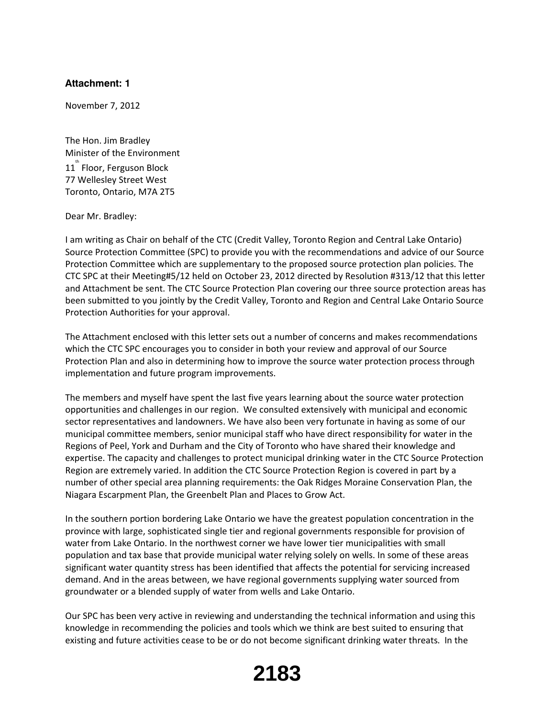#### **Attachment: 1**

November 7, 2012

The Hon. Jim Bradley Minister of the Environment  $11^{^{th}}$  Floor, Ferguson Block 77 Wellesley Street West Toronto, Ontario, M7A 2T5

Dear Mr. Bradley:

I am writing as Chair on behalf of the CTC (Credit Valley, Toronto Region and Central Lake Ontario) Source Protection Committee (SPC) to provide you with the recommendations and advice of our Source Protection Committee which are supplementary to the proposed source protection plan policies. The CTC SPC at their Meeting#5/12 held on October 23, 2012 directed by Resolution #313/12 that this letter and Attachment be sent. The CTC Source Protection Plan covering our three source protection areas has been submitted to you jointly by the Credit Valley, Toronto and Region and Central Lake Ontario Source Protection Authorities for your approval.

The Attachment enclosed with this letter sets out a number of concerns and makes recommendations which the CTC SPC encourages you to consider in both your review and approval of our Source Protection Plan and also in determining how to improve the source water protection process through implementation and future program improvements.

The members and myself have spent the last five years learning about the source water protection opportunities and challenges in our region. We consulted extensively with municipal and economic sector representatives and landowners. We have also been very fortunate in having as some of our municipal committee members, senior municipal staff who have direct responsibility for water in the Regions of Peel, York and Durham and the City of Toronto who have shared their knowledge and expertise. The capacity and challenges to protect municipal drinking water in the CTC Source Protection Region are extremely varied. In addition the CTC Source Protection Region is covered in part by a number of other special area planning requirements: the Oak Ridges Moraine Conservation Plan, the Niagara Escarpment Plan, the Greenbelt Plan and Places to Grow Act.

In the southern portion bordering Lake Ontario we have the greatest population concentration in the province with large, sophisticated single tier and regional governments responsible for provision of water from Lake Ontario. In the northwest corner we have lower tier municipalities with small population and tax base that provide municipal water relying solely on wells. In some of these areas significant water quantity stress has been identified that affects the potential for servicing increased demand. And in the areas between, we have regional governments supplying water sourced from groundwater or a blended supply of water from wells and Lake Ontario.

Our SPC has been very active in reviewing and understanding the technical information and using this knowledge in recommending the policies and tools which we think are best suited to ensuring that existing and future activities cease to be or do not become significant drinking water threats. In the

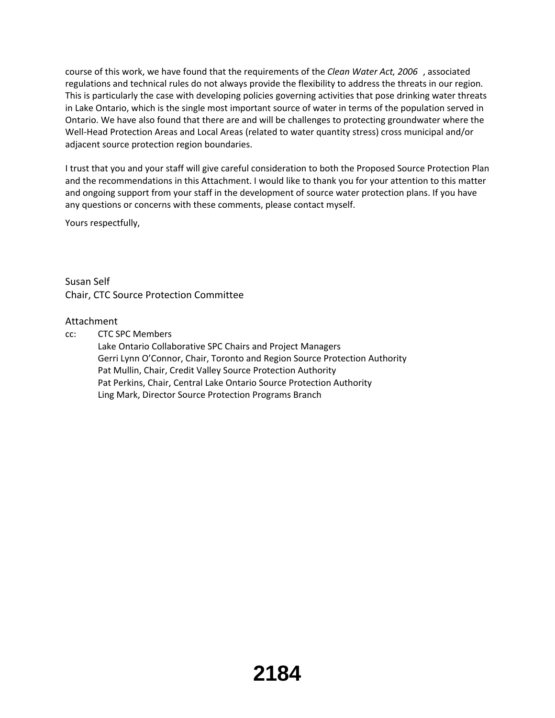course of this work, we have found that the requirements of the *Clean Water Act, 2006* , associated regulations and technical rules do not always provide the flexibility to address the threats in our region. This is particularly the case with developing policies governing activities that pose drinking water threats in Lake Ontario, which is the single most important source of water in terms of the population served in Ontario. We have also found that there are and will be challenges to protecting groundwater where the Well-Head Protection Areas and Local Areas (related to water quantity stress) cross municipal and/or adjacent source protection region boundaries.

I trust that you and your staff will give careful consideration to both the Proposed Source Protection Plan and the recommendations in this Attachment. I would like to thank you for your attention to this matter and ongoing support from your staff in the development of source water protection plans. If you have any questions or concerns with these comments, please contact myself.

Yours respectfully,

Susan Self Chair, CTC Source Protection Committee

### Attachment

cc: CTC SPC Members

Lake Ontario Collaborative SPC Chairs and Project Managers Gerri Lynn O'Connor, Chair, Toronto and Region Source Protection Authority Pat Mullin, Chair, Credit Valley Source Protection Authority Pat Perkins, Chair, Central Lake Ontario Source Protection Authority Ling Mark, Director Source Protection Programs Branch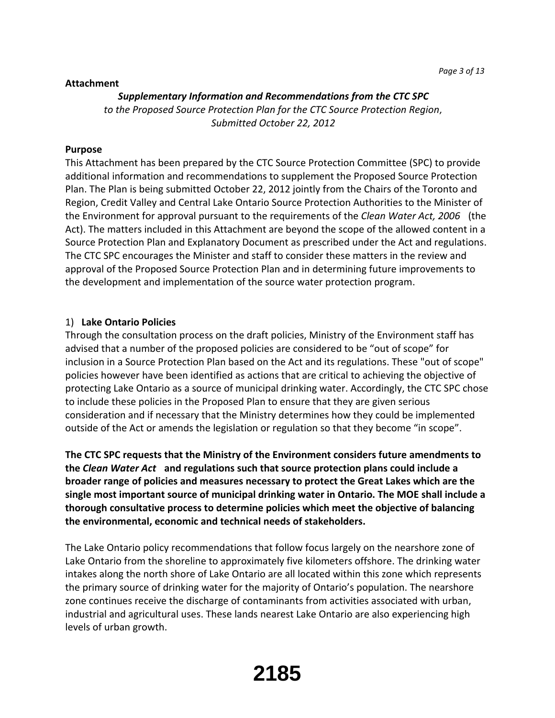#### **Attachment**

#### *Supplementary Information and Recommendations from the CTC SPC*

*to the Proposed Source Protection Plan for the CTC Source Protection Region, Submitted October 22, 2012*

#### **Purpose**

This Attachment has been prepared by the CTC Source Protection Committee (SPC) to provide additional information and recommendations to supplement the Proposed Source Protection Plan. The Plan is being submitted October 22, 2012 jointly from the Chairs of the Toronto and Region, Credit Valley and Central Lake Ontario Source Protection Authorities to the Minister of the Environment for approval pursuant to the requirements of the *Clean Water Act, 2006* (the Act). The matters included in this Attachment are beyond the scope of the allowed content in a Source Protection Plan and Explanatory Document as prescribed under the Act and regulations. The CTC SPC encourages the Minister and staff to consider these matters in the review and approval of the Proposed Source Protection Plan and in determining future improvements to the development and implementation of the source water protection program.

#### 1) **Lake Ontario Policies**

Through the consultation process on the draft policies, Ministry of the Environment staff has advised that a number of the proposed policies are considered to be "out of scope" for inclusion in a Source Protection Plan based on the Act and its regulations. These "out of scope" policies however have been identified as actions that are critical to achieving the objective of protecting Lake Ontario as a source of municipal drinking water. Accordingly, the CTC SPC chose to include these policies in the Proposed Plan to ensure that they are given serious consideration and if necessary that the Ministry determines how they could be implemented outside of the Act or amends the legislation or regulation so that they become "in scope".

**The CTC SPC requests that the Ministry of the Environment considers future amendments to the** *Clean Water Act* **and regulations such that source protection plans could include a broader range of policies and measures necessary to protect the Great Lakes which are the single most important source of municipal drinking water in Ontario. The MOE shall include a thorough consultative process to determine policies which meet the objective of balancing the environmental, economic and technical needs of stakeholders.**

The Lake Ontario policy recommendations that follow focus largely on the nearshore zone of Lake Ontario from the shoreline to approximately five kilometers offshore. The drinking water intakes along the north shore of Lake Ontario are all located within this zone which represents the primary source of drinking water for the majority of Ontario's population. The nearshore zone continues receive the discharge of contaminants from activities associated with urban, industrial and agricultural uses. These lands nearest Lake Ontario are also experiencing high levels of urban growth.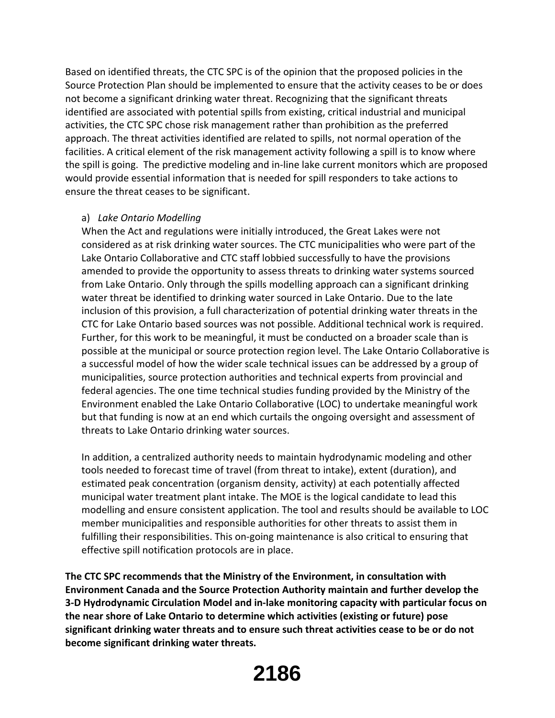Based on identified threats, the CTC SPC is of the opinion that the proposed policies in the Source Protection Plan should be implemented to ensure that the activity ceases to be or does not become a significant drinking water threat. Recognizing that the significant threats identified are associated with potential spills from existing, critical industrial and municipal activities, the CTC SPC chose risk management rather than prohibition as the preferred approach. The threat activities identified are related to spills, not normal operation of the facilities. A critical element of the risk management activity following a spill is to know where the spill is going. The predictive modeling and in‐line lake current monitors which are proposed would provide essential information that is needed for spill responders to take actions to ensure the threat ceases to be significant.

### a) *Lake Ontario Modelling*

When the Act and regulations were initially introduced, the Great Lakes were not considered as at risk drinking water sources. The CTC municipalities who were part of the Lake Ontario Collaborative and CTC staff lobbied successfully to have the provisions amended to provide the opportunity to assess threats to drinking water systems sourced from Lake Ontario. Only through the spills modelling approach can a significant drinking water threat be identified to drinking water sourced in Lake Ontario. Due to the late inclusion of this provision, a full characterization of potential drinking water threats in the CTC for Lake Ontario based sources was not possible. Additional technical work is required. Further, for this work to be meaningful, it must be conducted on a broader scale than is possible at the municipal or source protection region level. The Lake Ontario Collaborative is a successful model of how the wider scale technical issues can be addressed by a group of municipalities, source protection authorities and technical experts from provincial and federal agencies. The one time technical studies funding provided by the Ministry of the Environment enabled the Lake Ontario Collaborative (LOC) to undertake meaningful work but that funding is now at an end which curtails the ongoing oversight and assessment of threats to Lake Ontario drinking water sources.

In addition, a centralized authority needs to maintain hydrodynamic modeling and other tools needed to forecast time of travel (from threat to intake), extent (duration), and estimated peak concentration (organism density, activity) at each potentially affected municipal water treatment plant intake. The MOE is the logical candidate to lead this modelling and ensure consistent application. The tool and results should be available to LOC member municipalities and responsible authorities for other threats to assist them in fulfilling their responsibilities. This on‐going maintenance is also critical to ensuring that effective spill notification protocols are in place.

**The CTC SPC recommends that the Ministry of the Environment, in consultation with Environment Canada and the Source Protection Authority maintain and further develop the 3‐D Hydrodynamic Circulation Model and in‐lake monitoring capacity with particular focus on the near shore of Lake Ontario to determine which activities (existing or future) pose significant drinking water threats and to ensure such threat activities cease to be or do not become significant drinking water threats.**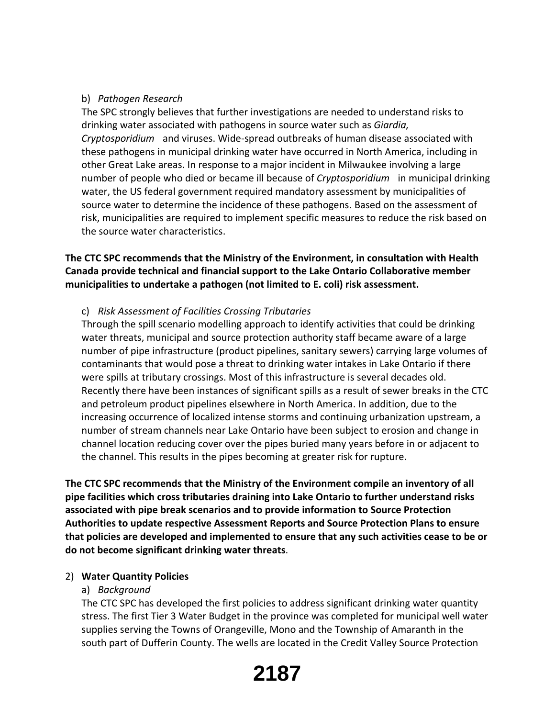## b) *Pathogen Research*

The SPC strongly believes that further investigations are needed to understand risks to drinking water associated with pathogens in source water such as *Giardia, Cryptosporidium* and viruses. Wide‐spread outbreaks of human disease associated with these pathogens in municipal drinking water have occurred in North America, including in other Great Lake areas. In response to a major incident in Milwaukee involving a large number of people who died or became ill because of *Cryptosporidium* in municipal drinking water, the US federal government required mandatory assessment by municipalities of source water to determine the incidence of these pathogens. Based on the assessment of risk, municipalities are required to implement specific measures to reduce the risk based on the source water characteristics.

# **The CTC SPC recommends that the Ministry of the Environment, in consultation with Health Canada provide technical and financial support to the Lake Ontario Collaborative member municipalities to undertake a pathogen (not limited to E. coli) risk assessment.**

## c) *Risk Assessment of Facilities Crossing Tributaries*

Through the spill scenario modelling approach to identify activities that could be drinking water threats, municipal and source protection authority staff became aware of a large number of pipe infrastructure (product pipelines, sanitary sewers) carrying large volumes of contaminants that would pose a threat to drinking water intakes in Lake Ontario if there were spills at tributary crossings. Most of this infrastructure is several decades old. Recently there have been instances of significant spills as a result of sewer breaks in the CTC and petroleum product pipelines elsewhere in North America. In addition, due to the increasing occurrence of localized intense storms and continuing urbanization upstream, a number of stream channels near Lake Ontario have been subject to erosion and change in channel location reducing cover over the pipes buried many years before in or adjacent to the channel. This results in the pipes becoming at greater risk for rupture.

**The CTC SPC recommends that the Ministry of the Environment compile an inventory of all pipe facilities which cross tributaries draining into Lake Ontario to further understand risks associated with pipe break scenarios and to provide information to Source Protection Authorities to update respective Assessment Reports and Source Protection Plans to ensure that policies are developed and implemented to ensure that any such activities cease to be or do not become significant drinking water threats**.

### 2) **Water Quantity Policies**

### a) *Background*

The CTC SPC has developed the first policies to address significant drinking water quantity stress. The first Tier 3 Water Budget in the province was completed for municipal well water supplies serving the Towns of Orangeville, Mono and the Township of Amaranth in the south part of Dufferin County. The wells are located in the Credit Valley Source Protection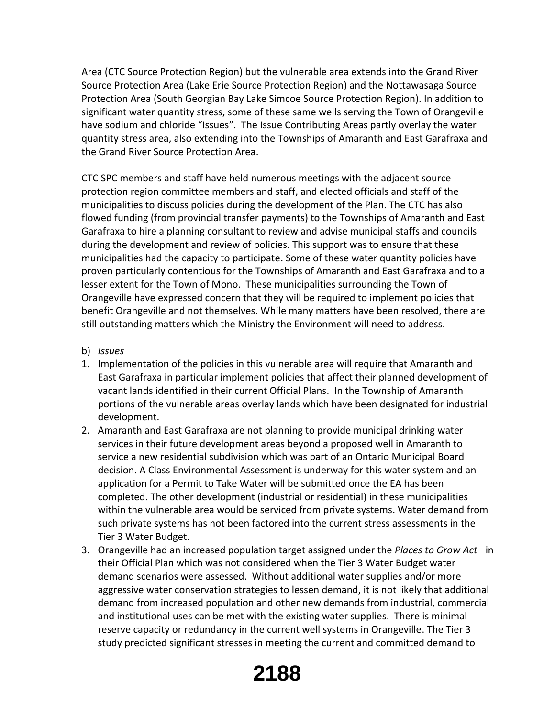Area (CTC Source Protection Region) but the vulnerable area extends into the Grand River Source Protection Area (Lake Erie Source Protection Region) and the Nottawasaga Source Protection Area (South Georgian Bay Lake Simcoe Source Protection Region). In addition to significant water quantity stress, some of these same wells serving the Town of Orangeville have sodium and chloride "Issues". The Issue Contributing Areas partly overlay the water quantity stress area, also extending into the Townships of Amaranth and East Garafraxa and the Grand River Source Protection Area.

CTC SPC members and staff have held numerous meetings with the adjacent source protection region committee members and staff, and elected officials and staff of the municipalities to discuss policies during the development of the Plan. The CTC has also flowed funding (from provincial transfer payments) to the Townships of Amaranth and East Garafraxa to hire a planning consultant to review and advise municipal staffs and councils during the development and review of policies. This support was to ensure that these municipalities had the capacity to participate. Some of these water quantity policies have proven particularly contentious for the Townships of Amaranth and East Garafraxa and to a lesser extent for the Town of Mono. These municipalities surrounding the Town of Orangeville have expressed concern that they will be required to implement policies that benefit Orangeville and not themselves. While many matters have been resolved, there are still outstanding matters which the Ministry the Environment will need to address.

- b) *Issues*
- 1. Implementation of the policies in this vulnerable area will require that Amaranth and East Garafraxa in particular implement policies that affect their planned development of vacant lands identified in their current Official Plans. In the Township of Amaranth portions of the vulnerable areas overlay lands which have been designated for industrial development.
- 2. Amaranth and East Garafraxa are not planning to provide municipal drinking water services in their future development areas beyond a proposed well in Amaranth to service a new residential subdivision which was part of an Ontario Municipal Board decision. A Class Environmental Assessment is underway for this water system and an application for a Permit to Take Water will be submitted once the EA has been completed. The other development (industrial or residential) in these municipalities within the vulnerable area would be serviced from private systems. Water demand from such private systems has not been factored into the current stress assessments in the Tier 3 Water Budget.
- 3. Orangeville had an increased population target assigned under the *Places to Grow Act* in their Official Plan which was not considered when the Tier 3 Water Budget water demand scenarios were assessed. Without additional water supplies and/or more aggressive water conservation strategies to lessen demand, it is not likely that additional demand from increased population and other new demands from industrial, commercial and institutional uses can be met with the existing water supplies. There is minimal reserve capacity or redundancy in the current well systems in Orangeville. The Tier 3 study predicted significant stresses in meeting the current and committed demand to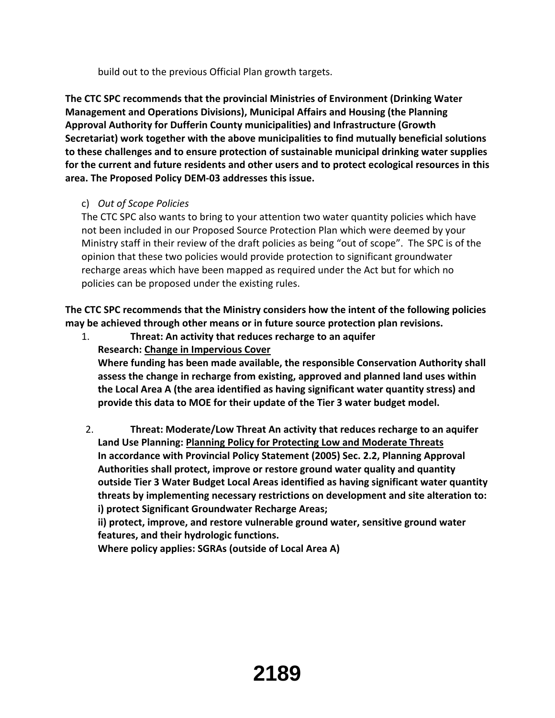build out to the previous Official Plan growth targets.

**The CTC SPC recommends that the provincial Ministries of Environment (Drinking Water Management and Operations Divisions), Municipal Affairs and Housing (the Planning Approval Authority for Dufferin County municipalities) and Infrastructure (Growth Secretariat) work together with the above municipalities to find mutually beneficial solutions to these challenges and to ensure protection of sustainable municipal drinking water supplies for the current and future residents and other users and to protect ecological resources in this area. The Proposed Policy DEM‐03 addresses this issue.**

# c) *Out of Scope Policies*

The CTC SPC also wants to bring to your attention two water quantity policies which have not been included in our Proposed Source Protection Plan which were deemed by your Ministry staff in their review of the draft policies as being "out of scope". The SPC is of the opinion that these two policies would provide protection to significant groundwater recharge areas which have been mapped as required under the Act but for which no policies can be proposed under the existing rules.

**The CTC SPC recommends that the Ministry considers how the intent of the following policies may be achieved through other means or in future source protection plan revisions.**

1. **Threat: An activity that reduces recharge to an aquifer Research: Change in Impervious Cover**

**Where funding has been made available, the responsible Conservation Authority shall assess the change in recharge from existing, approved and planned land uses within the Local Area A (the area identified as having significant water quantity stress) and provide this data to MOE for their update of the Tier 3 water budget model.**

2. **Threat: Moderate/Low Threat An activity that reduces recharge to an aquifer Land Use Planning: Planning Policy for Protecting Low and Moderate Threats In accordance with Provincial Policy Statement (2005) Sec. 2.2, Planning Approval Authorities shall protect, improve or restore ground water quality and quantity outside Tier 3 Water Budget Local Areas identified as having significant water quantity threats by implementing necessary restrictions on development and site alteration to: i) protect Significant Groundwater Recharge Areas;**

**ii) protect, improve, and restore vulnerable ground water, sensitive ground water features, and their hydrologic functions.**

**Where policy applies: SGRAs (outside of Local Area A)**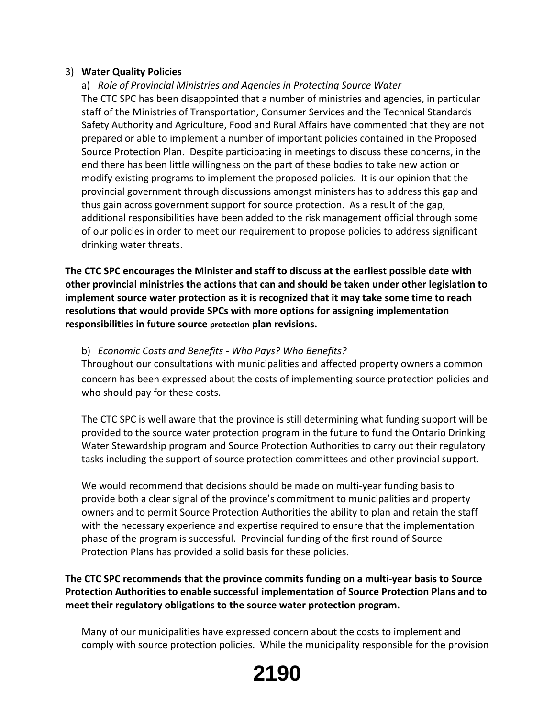## 3) **Water Quality Policies**

a) *Role of Provincial Ministries and Agencies in Protecting Source Water* The CTC SPC has been disappointed that a number of ministries and agencies, in particular staff of the Ministries of Transportation, Consumer Services and the Technical Standards Safety Authority and Agriculture, Food and Rural Affairs have commented that they are not prepared or able to implement a number of important policies contained in the Proposed Source Protection Plan. Despite participating in meetings to discuss these concerns, in the end there has been little willingness on the part of these bodies to take new action or modify existing programs to implement the proposed policies. It is our opinion that the provincial government through discussions amongst ministers has to address this gap and thus gain across government support for source protection. As a result of the gap, additional responsibilities have been added to the risk management official through some of our policies in order to meet our requirement to propose policies to address significant drinking water threats.

**The CTC SPC encourages the Minister and staff to discuss at the earliest possible date with other provincial ministries the actions that can and should be taken under other legislation to implement source water protection as it is recognized that it may take some time to reach resolutions that would provide SPCs with more options for assigning implementation responsibilities in future source protection plan revisions.**

## b) *Economic Costs and Benefits ‐ Who Pays? Who Benefits?*

Throughout our consultations with municipalities and affected property owners a common concern has been expressed about the costs of implementing source protection policies and who should pay for these costs.

The CTC SPC is well aware that the province is still determining what funding support will be provided to the source water protection program in the future to fund the Ontario Drinking Water Stewardship program and Source Protection Authorities to carry out their regulatory tasks including the support of source protection committees and other provincial support.

We would recommend that decisions should be made on multi‐year funding basis to provide both a clear signal of the province's commitment to municipalities and property owners and to permit Source Protection Authorities the ability to plan and retain the staff with the necessary experience and expertise required to ensure that the implementation phase of the program is successful. Provincial funding of the first round of Source Protection Plans has provided a solid basis for these policies.

**The CTC SPC recommends that the province commits funding on a multi‐year basis to Source Protection Authorities to enable successful implementation of Source Protection Plans and to meet their regulatory obligations to the source water protection program.**

Many of our municipalities have expressed concern about the costs to implement and comply with source protection policies. While the municipality responsible for the provision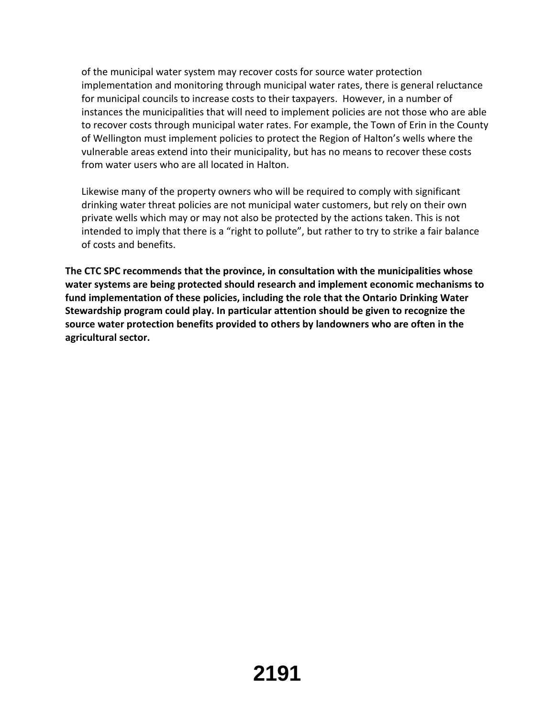of the municipal water system may recover costs for source water protection implementation and monitoring through municipal water rates, there is general reluctance for municipal councils to increase costs to their taxpayers. However, in a number of instances the municipalities that will need to implement policies are not those who are able to recover costs through municipal water rates. For example, the Town of Erin in the County of Wellington must implement policies to protect the Region of Halton's wells where the vulnerable areas extend into their municipality, but has no means to recover these costs from water users who are all located in Halton.

Likewise many of the property owners who will be required to comply with significant drinking water threat policies are not municipal water customers, but rely on their own private wells which may or may not also be protected by the actions taken. This is not intended to imply that there is a "right to pollute", but rather to try to strike a fair balance of costs and benefits.

**The CTC SPC recommends that the province, in consultation with the municipalities whose water systems are being protected should research and implement economic mechanisms to fund implementation of these policies, including the role that the Ontario Drinking Water Stewardship program could play. In particular attention should be given to recognize the source water protection benefits provided to others by landowners who are often in the agricultural sector.**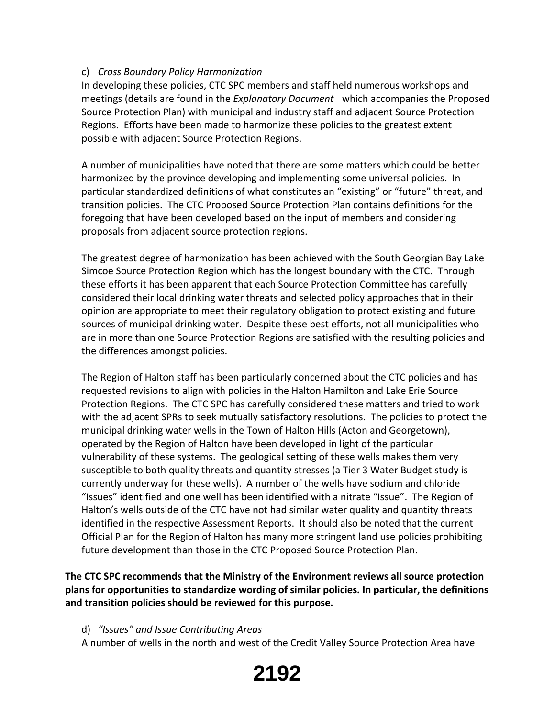## c) *Cross Boundary Policy Harmonization*

In developing these policies, CTC SPC members and staff held numerous workshops and meetings (details are found in the *Explanatory Document* which accompanies the Proposed Source Protection Plan) with municipal and industry staff and adjacent Source Protection Regions. Efforts have been made to harmonize these policies to the greatest extent possible with adjacent Source Protection Regions.

A number of municipalities have noted that there are some matters which could be better harmonized by the province developing and implementing some universal policies. In particular standardized definitions of what constitutes an "existing" or "future" threat, and transition policies. The CTC Proposed Source Protection Plan contains definitions for the foregoing that have been developed based on the input of members and considering proposals from adjacent source protection regions.

The greatest degree of harmonization has been achieved with the South Georgian Bay Lake Simcoe Source Protection Region which has the longest boundary with the CTC. Through these efforts it has been apparent that each Source Protection Committee has carefully considered their local drinking water threats and selected policy approaches that in their opinion are appropriate to meet their regulatory obligation to protect existing and future sources of municipal drinking water. Despite these best efforts, not all municipalities who are in more than one Source Protection Regions are satisfied with the resulting policies and the differences amongst policies.

The Region of Halton staff has been particularly concerned about the CTC policies and has requested revisions to align with policies in the Halton Hamilton and Lake Erie Source Protection Regions. The CTC SPC has carefully considered these matters and tried to work with the adjacent SPRs to seek mutually satisfactory resolutions. The policies to protect the municipal drinking water wells in the Town of Halton Hills (Acton and Georgetown), operated by the Region of Halton have been developed in light of the particular vulnerability of these systems. The geological setting of these wells makes them very susceptible to both quality threats and quantity stresses (a Tier 3 Water Budget study is currently underway for these wells). A number of the wells have sodium and chloride "Issues" identified and one well has been identified with a nitrate "Issue". The Region of Halton's wells outside of the CTC have not had similar water quality and quantity threats identified in the respective Assessment Reports. It should also be noted that the current Official Plan for the Region of Halton has many more stringent land use policies prohibiting future development than those in the CTC Proposed Source Protection Plan.

**The CTC SPC recommends that the Ministry of the Environment reviews all source protection plans for opportunities to standardize wording of similar policies. In particular, the definitions and transition policies should be reviewed for this purpose.** 

### d) *"Issues" and Issue Contributing Areas*

A number of wells in the north and west of the Credit Valley Source Protection Area have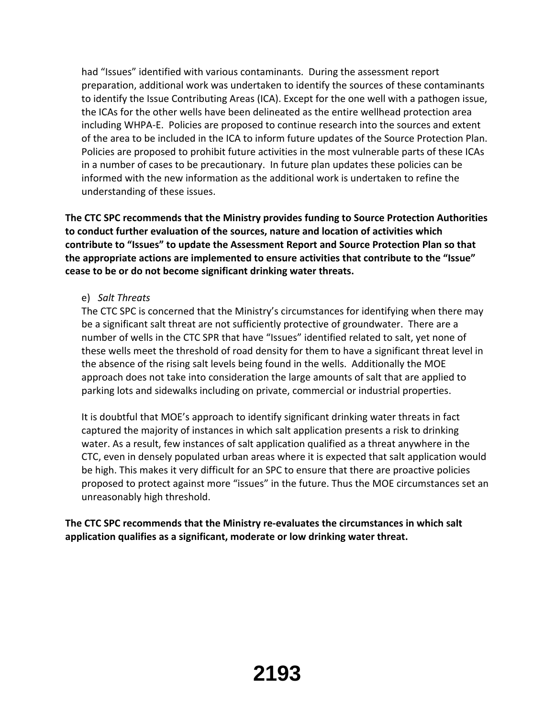had "Issues" identified with various contaminants. During the assessment report preparation, additional work was undertaken to identify the sources of these contaminants to identify the Issue Contributing Areas (ICA). Except for the one well with a pathogen issue, the ICAs for the other wells have been delineated as the entire wellhead protection area including WHPA‐E. Policies are proposed to continue research into the sources and extent of the area to be included in the ICA to inform future updates of the Source Protection Plan. Policies are proposed to prohibit future activities in the most vulnerable parts of these ICAs in a number of cases to be precautionary. In future plan updates these policies can be informed with the new information as the additional work is undertaken to refine the understanding of these issues.

**The CTC SPC recommends that the Ministry provides funding to Source Protection Authorities to conduct further evaluation of the sources, nature and location of activities which contribute to "Issues" to update the Assessment Report and Source Protection Plan so that the appropriate actions are implemented to ensure activities that contribute to the "Issue" cease to be or do not become significant drinking water threats.**

## e) *Salt Threats*

The CTC SPC is concerned that the Ministry's circumstances for identifying when there may be a significant salt threat are not sufficiently protective of groundwater. There are a number of wells in the CTC SPR that have "Issues" identified related to salt, yet none of these wells meet the threshold of road density for them to have a significant threat level in the absence of the rising salt levels being found in the wells. Additionally the MOE approach does not take into consideration the large amounts of salt that are applied to parking lots and sidewalks including on private, commercial or industrial properties.

It is doubtful that MOE's approach to identify significant drinking water threats in fact captured the majority of instances in which salt application presents a risk to drinking water. As a result, few instances of salt application qualified as a threat anywhere in the CTC, even in densely populated urban areas where it is expected that salt application would be high. This makes it very difficult for an SPC to ensure that there are proactive policies proposed to protect against more "issues" in the future. Thus the MOE circumstances set an unreasonably high threshold.

**The CTC SPC recommends that the Ministry re‐evaluates the circumstances in which salt application qualifies as a significant, moderate or low drinking water threat.**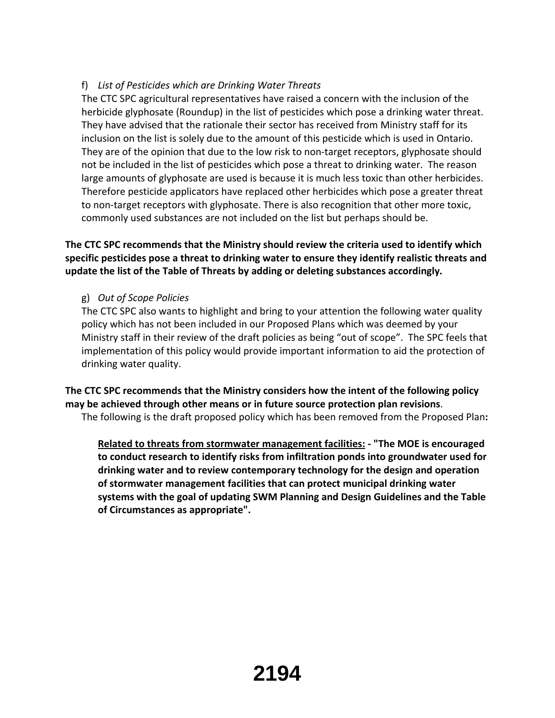# f) *List of Pesticides which are Drinking Water Threats*

The CTC SPC agricultural representatives have raised a concern with the inclusion of the herbicide glyphosate (Roundup) in the list of pesticides which pose a drinking water threat. They have advised that the rationale their sector has received from Ministry staff for its inclusion on the list is solely due to the amount of this pesticide which is used in Ontario. They are of the opinion that due to the low risk to non-target receptors, glyphosate should not be included in the list of pesticides which pose a threat to drinking water. The reason large amounts of glyphosate are used is because it is much less toxic than other herbicides. Therefore pesticide applicators have replaced other herbicides which pose a greater threat to non-target receptors with glyphosate. There is also recognition that other more toxic, commonly used substances are not included on the list but perhaps should be.

# **The CTC SPC recommends that the Ministry should review the criteria used to identify which specific pesticides pose a threat to drinking water to ensure they identify realistic threats and update the list of the Table of Threats by adding or deleting substances accordingly.**

# g) *Out of Scope Policies*

The CTC SPC also wants to highlight and bring to your attention the following water quality policy which has not been included in our Proposed Plans which was deemed by your Ministry staff in their review of the draft policies as being "out of scope". The SPC feels that implementation of this policy would provide important information to aid the protection of drinking water quality.

**The CTC SPC recommends that the Ministry considers how the intent of the following policy may be achieved through other means or in future source protection plan revisions**. The following is the draft proposed policy which has been removed from the Proposed Plan**:**

**Related to threats from stormwater management facilities: ‐ "The MOE is encouraged to conduct research to identify risks from infiltration ponds into groundwater used for drinking water and to review contemporary technology for the design and operation of stormwater management facilities that can protect municipal drinking water systems with the goal of updating SWM Planning and Design Guidelines and the Table of Circumstances as appropriate".**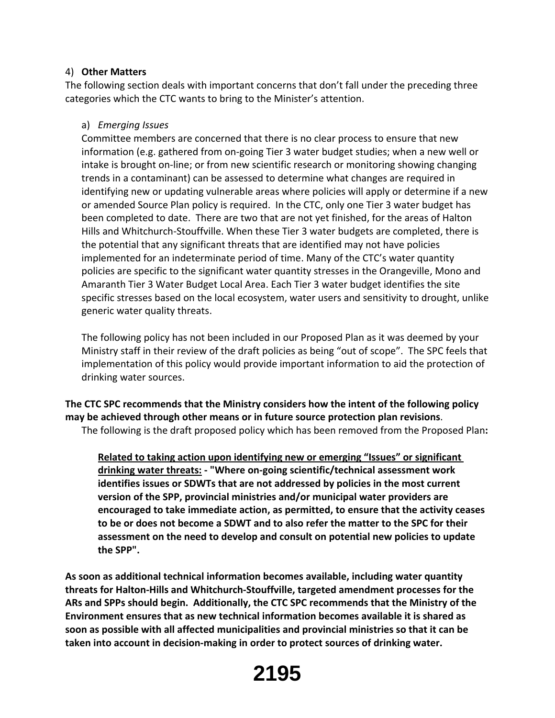### 4) **Other Matters**

The following section deals with important concerns that don't fall under the preceding three categories which the CTC wants to bring to the Minister's attention.

## a) *Emerging Issues*

Committee members are concerned that there is no clear process to ensure that new information (e.g. gathered from on‐going Tier 3 water budget studies; when a new well or intake is brought on‐line; or from new scientific research or monitoring showing changing trends in a contaminant) can be assessed to determine what changes are required in identifying new or updating vulnerable areas where policies will apply or determine if a new or amended Source Plan policy is required. In the CTC, only one Tier 3 water budget has been completed to date. There are two that are not yet finished, for the areas of Halton Hills and Whitchurch‐Stouffville. When these Tier 3 water budgets are completed, there is the potential that any significant threats that are identified may not have policies implemented for an indeterminate period of time. Many of the CTC's water quantity policies are specific to the significant water quantity stresses in the Orangeville, Mono and Amaranth Tier 3 Water Budget Local Area. Each Tier 3 water budget identifies the site specific stresses based on the local ecosystem, water users and sensitivity to drought, unlike generic water quality threats.

The following policy has not been included in our Proposed Plan as it was deemed by your Ministry staff in their review of the draft policies as being "out of scope". The SPC feels that implementation of this policy would provide important information to aid the protection of drinking water sources.

**The CTC SPC recommends that the Ministry considers how the intent of the following policy may be achieved through other means or in future source protection plan revisions**.

The following is the draft proposed policy which has been removed from the Proposed Plan**:**

**Related to taking action upon identifying new or emerging "Issues" or significant drinking water threats: ‐ "Where on‐going scientific/technical assessment work identifies issues or SDWTs that are not addressed by policies in the most current version of the SPP, provincial ministries and/or municipal water providers are encouraged to take immediate action, as permitted, to ensure that the activity ceases to be or does not become a SDWT and to also refer the matter to the SPC for their assessment on the need to develop and consult on potential new policies to update the SPP".**

**As soon as additional technical information becomes available, including water quantity threats for Halton‐Hills and Whitchurch‐Stouffville, targeted amendment processes for the ARs and SPPs should begin. Additionally, the CTC SPC recommends that the Ministry of the Environment ensures that as new technical information becomes available it is shared as soon as possible with all affected municipalities and provincial ministries so that it can be taken into account in decision‐making in order to protect sources of drinking water.**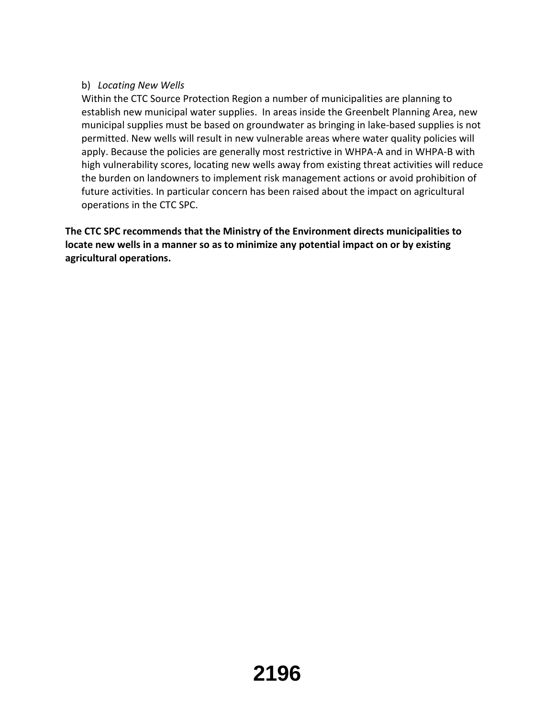# b) *Locating New Wells*

Within the CTC Source Protection Region a number of municipalities are planning to establish new municipal water supplies. In areas inside the Greenbelt Planning Area, new municipal supplies must be based on groundwater as bringing in lake‐based supplies is not permitted. New wells will result in new vulnerable areas where water quality policies will apply. Because the policies are generally most restrictive in WHPA‐A and in WHPA‐B with high vulnerability scores, locating new wells away from existing threat activities will reduce the burden on landowners to implement risk management actions or avoid prohibition of future activities. In particular concern has been raised about the impact on agricultural operations in the CTC SPC.

**The CTC SPC recommends that the Ministry of the Environment directs municipalities to locate new wells in a manner so as to minimize any potential impact on or by existing agricultural operations.**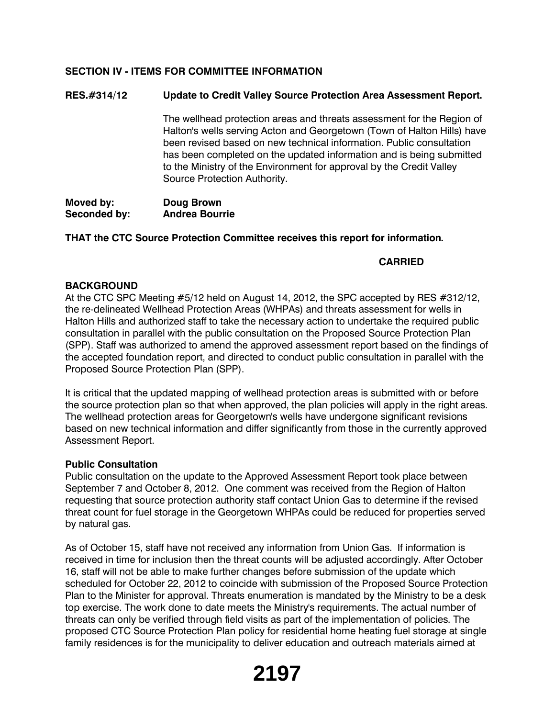## **SECTION IV - ITEMS FOR COMMITTEE INFORMATION**

#### **RES.#314/12 Update to Credit Valley Source Protection Area Assessment Report.**

The wellhead protection areas and threats assessment for the Region of Halton's wells serving Acton and Georgetown (Town of Halton Hills) have been revised based on new technical information. Public consultation has been completed on the updated information and is being submitted to the Ministry of the Environment for approval by the Credit Valley Source Protection Authority.

**Moved by: Doug Brown Seconded by: Andrea Bourrie**

#### **THAT the CTC Source Protection Committee receives this report for information.**

#### **CARRIED**

#### **BACKGROUND**

At the CTC SPC Meeting #5/12 held on August 14, 2012, the SPC accepted by RES #312/12, the re-delineated Wellhead Protection Areas (WHPAs) and threats assessment for wells in Halton Hills and authorized staff to take the necessary action to undertake the required public consultation in parallel with the public consultation on the Proposed Source Protection Plan (SPP). Staff was authorized to amend the approved assessment report based on the findings of the accepted foundation report, and directed to conduct public consultation in parallel with the Proposed Source Protection Plan (SPP).

It is critical that the updated mapping of wellhead protection areas is submitted with or before the source protection plan so that when approved, the plan policies will apply in the right areas. The wellhead protection areas for Georgetown's wells have undergone significant revisions based on new technical information and differ significantly from those in the currently approved Assessment Report.

#### **Public Consultation**

Public consultation on the update to the Approved Assessment Report took place between September 7 and October 8, 2012. One comment was received from the Region of Halton requesting that source protection authority staff contact Union Gas to determine if the revised threat count for fuel storage in the Georgetown WHPAs could be reduced for properties served by natural gas.

As of October 15, staff have not received any information from Union Gas. If information is received in time for inclusion then the threat counts will be adjusted accordingly. After October 16, staff will not be able to make further changes before submission of the update which scheduled for October 22, 2012 to coincide with submission of the Proposed Source Protection Plan to the Minister for approval. Threats enumeration is mandated by the Ministry to be a desk top exercise. The work done to date meets the Ministry's requirements. The actual number of threats can only be verified through field visits as part of the implementation of policies. The proposed CTC Source Protection Plan policy for residential home heating fuel storage at single family residences is for the municipality to deliver education and outreach materials aimed at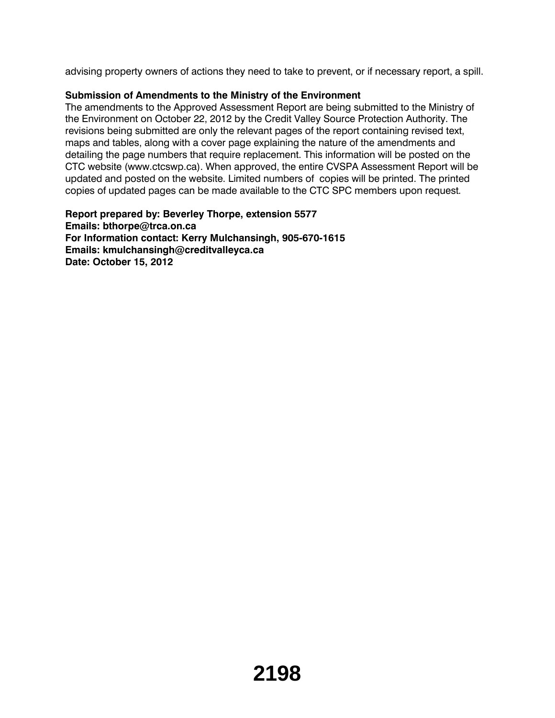advising property owners of actions they need to take to prevent, or if necessary report, a spill.

# **Submission of Amendments to the Ministry of the Environment**

The amendments to the Approved Assessment Report are being submitted to the Ministry of the Environment on October 22, 2012 by the Credit Valley Source Protection Authority. The revisions being submitted are only the relevant pages of the report containing revised text, maps and tables, along with a cover page explaining the nature of the amendments and detailing the page numbers that require replacement. This information will be posted on the CTC website (www.ctcswp.ca). When approved, the entire CVSPA Assessment Report will be updated and posted on the website. Limited numbers of copies will be printed. The printed copies of updated pages can be made available to the CTC SPC members upon request.

**Report prepared by: Beverley Thorpe, extension 5577 Emails: bthorpe@trca.on.ca For Information contact: Kerry Mulchansingh, 905-670-1615 Emails: kmulchansingh@creditvalleyca.ca Date: October 15, 2012**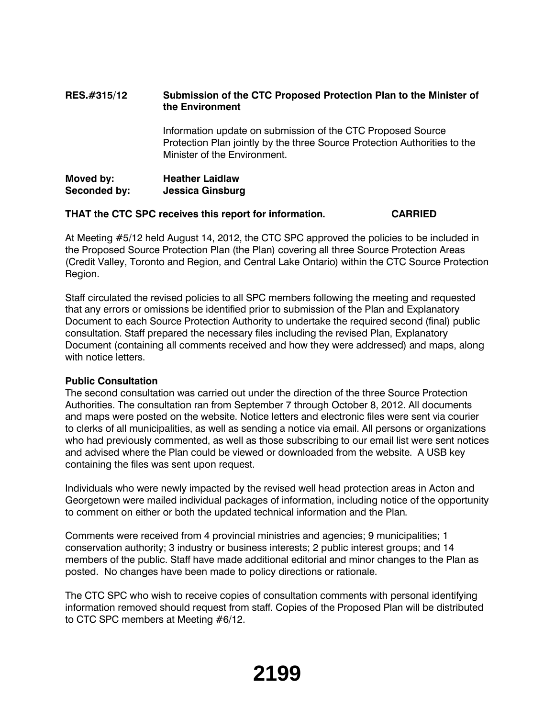## **RES.#315/12 Submission of the CTC Proposed Protection Plan to the Minister of the Environment**

Information update on submission of the CTC Proposed Source Protection Plan jointly by the three Source Protection Authorities to the Minister of the Environment.

| Moved by:    | <b>Heather Laidlaw</b>  |
|--------------|-------------------------|
| Seconded by: | <b>Jessica Ginsburg</b> |

#### **THAT the CTC SPC receives this report for information. CARRIED**

At Meeting #5/12 held August 14, 2012, the CTC SPC approved the policies to be included in the Proposed Source Protection Plan (the Plan) covering all three Source Protection Areas (Credit Valley, Toronto and Region, and Central Lake Ontario) within the CTC Source Protection Region.

Staff circulated the revised policies to all SPC members following the meeting and requested that any errors or omissions be identified prior to submission of the Plan and Explanatory Document to each Source Protection Authority to undertake the required second (final) public consultation. Staff prepared the necessary files including the revised Plan, Explanatory Document (containing all comments received and how they were addressed) and maps, along with notice letters.

#### **Public Consultation**

The second consultation was carried out under the direction of the three Source Protection Authorities. The consultation ran from September 7 through October 8, 2012. All documents and maps were posted on the website. Notice letters and electronic files were sent via courier to clerks of all municipalities, as well as sending a notice via email. All persons or organizations who had previously commented, as well as those subscribing to our email list were sent notices and advised where the Plan could be viewed or downloaded from the website. A USB key containing the files was sent upon request.

Individuals who were newly impacted by the revised well head protection areas in Acton and Georgetown were mailed individual packages of information, including notice of the opportunity to comment on either or both the updated technical information and the Plan.

Comments were received from 4 provincial ministries and agencies; 9 municipalities; 1 conservation authority; 3 industry or business interests; 2 public interest groups; and 14 members of the public. Staff have made additional editorial and minor changes to the Plan as posted. No changes have been made to policy directions or rationale.

The CTC SPC who wish to receive copies of consultation comments with personal identifying information removed should request from staff. Copies of the Proposed Plan will be distributed to CTC SPC members at Meeting #6/12.